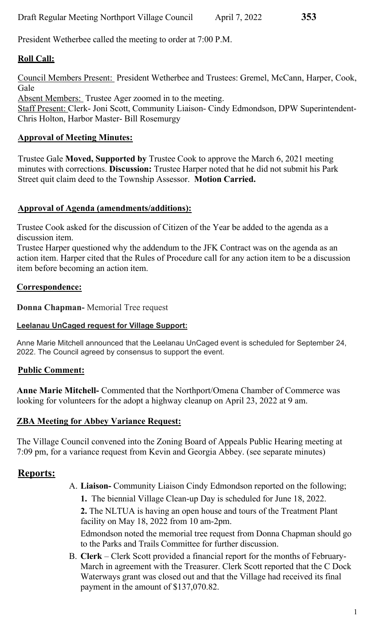President Wetherbee called the meeting to order at 7:00 P.M.

# **Roll Call:**

Council Members Present: President Wetherbee and Trustees: Gremel, McCann, Harper, Cook, Gale

Absent Members: Trustee Ager zoomed in to the meeting. Staff Present: Clerk- Joni Scott, Community Liaison- Cindy Edmondson, DPW Superintendent-Chris Holton, Harbor Master- Bill Rosemurgy

## **Approval of Meeting Minutes:**

Trustee Gale **Moved, Supported by** Trustee Cook to approve the March 6, 2021 meeting minutes with corrections. **Discussion:** Trustee Harper noted that he did not submit his Park Street quit claim deed to the Township Assessor. **Motion Carried.**

## **Approval of Agenda (amendments/additions):**

Trustee Cook asked for the discussion of Citizen of the Year be added to the agenda as a discussion item.

Trustee Harper questioned why the addendum to the JFK Contract was on the agenda as an action item. Harper cited that the Rules of Procedure call for any action item to be a discussion item before becoming an action item.

## **Correspondence:**

**Donna Chapman-** Memorial Tree request

#### **Leelanau UnCaged request for Village Support:**

Anne Marie Mitchell announced that the Leelanau UnCaged event is scheduled for September 24, 2022. The Council agreed by consensus to support the event.

## **Public Comment:**

**Anne Marie Mitchell-** Commented that the Northport/Omena Chamber of Commerce was looking for volunteers for the adopt a highway cleanup on April 23, 2022 at 9 am.

## **ZBA Meeting for Abbey Variance Request:**

The Village Council convened into the Zoning Board of Appeals Public Hearing meeting at 7:09 pm, for a variance request from Kevin and Georgia Abbey. (see separate minutes)

# **Reports:**

- A. **Liaison-** Community Liaison Cindy Edmondson reported on the following;
	- **1.** The biennial Village Clean-up Day is scheduled for June 18, 2022.

**2.** The NLTUA is having an open house and tours of the Treatment Plant facility on May 18, 2022 from 10 am-2pm.

Edmondson noted the memorial tree request from Donna Chapman should go to the Parks and Trails Committee for further discussion.

B. **Clerk** – Clerk Scott provided a financial report for the months of February-March in agreement with the Treasurer. Clerk Scott reported that the C Dock Waterways grant was closed out and that the Village had received its final payment in the amount of \$137,070.82.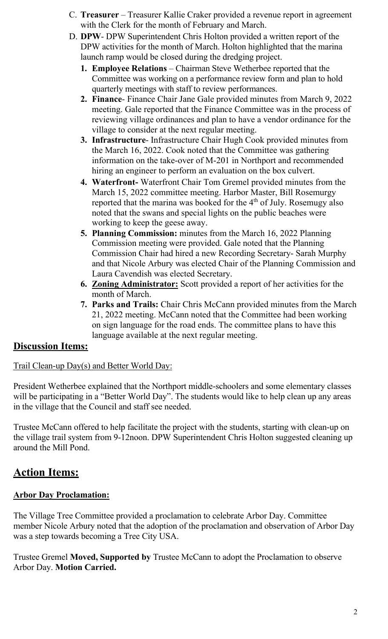- C. **Treasurer**  Treasurer Kallie Craker provided a revenue report in agreement with the Clerk for the month of February and March.
- D. **DPW** DPW Superintendent Chris Holton provided a written report of the DPW activities for the month of March. Holton highlighted that the marina launch ramp would be closed during the dredging project.
	- **1. Employee Relations**  Chairman Steve Wetherbee reported that the Committee was working on a performance review form and plan to hold quarterly meetings with staff to review performances.
	- **2. Finance** Finance Chair Jane Gale provided minutes from March 9, 2022 meeting. Gale reported that the Finance Committee was in the process of reviewing village ordinances and plan to have a vendor ordinance for the village to consider at the next regular meeting.
	- **3. Infrastructure** Infrastructure Chair Hugh Cook provided minutes from the March 16, 2022. Cook noted that the Committee was gathering information on the take-over of M-201 in Northport and recommended hiring an engineer to perform an evaluation on the box culvert.
	- **4. Waterfront-** Waterfront Chair Tom Gremel provided minutes from the March 15, 2022 committee meeting. Harbor Master, Bill Rosemurgy reported that the marina was booked for the 4<sup>th</sup> of July. Rosemugy also noted that the swans and special lights on the public beaches were working to keep the geese away.
	- **5. Planning Commission:** minutes from the March 16, 2022 Planning Commission meeting were provided. Gale noted that the Planning Commission Chair had hired a new Recording Secretary- Sarah Murphy and that Nicole Arbury was elected Chair of the Planning Commission and Laura Cavendish was elected Secretary.
	- **6. Zoning Administrator:** Scott provided a report of her activities for the month of March.
	- **7. Parks and Trails:** Chair Chris McCann provided minutes from the March 21, 2022 meeting. McCann noted that the Committee had been working on sign language for the road ends. The committee plans to have this language available at the next regular meeting.

# **Discussion Items:**

# Trail Clean-up Day(s) and Better World Day:

President Wetherbee explained that the Northport middle-schoolers and some elementary classes will be participating in a "Better World Day". The students would like to help clean up any areas in the village that the Council and staff see needed.

Trustee McCann offered to help facilitate the project with the students, starting with clean-up on the village trail system from 9-12noon. DPW Superintendent Chris Holton suggested cleaning up around the Mill Pond.

# **Action Items:**

# **Arbor Day Proclamation:**

The Village Tree Committee provided a proclamation to celebrate Arbor Day. Committee member Nicole Arbury noted that the adoption of the proclamation and observation of Arbor Day was a step towards becoming a Tree City USA.

Trustee Gremel **Moved, Supported by** Trustee McCann to adopt the Proclamation to observe Arbor Day. **Motion Carried.**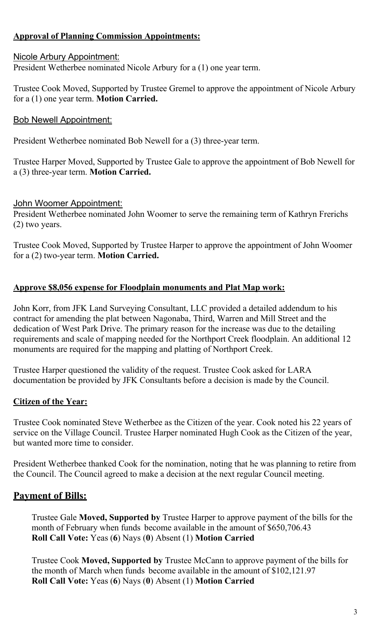## **Approval of Planning Commission Appointments:**

#### Nicole Arbury Appointment:

President Wetherbee nominated Nicole Arbury for a (1) one year term.

Trustee Cook Moved, Supported by Trustee Gremel to approve the appointment of Nicole Arbury for a (1) one year term. **Motion Carried.** 

#### Bob Newell Appointment:

President Wetherbee nominated Bob Newell for a (3) three-year term.

Trustee Harper Moved, Supported by Trustee Gale to approve the appointment of Bob Newell for a (3) three-year term. **Motion Carried.** 

#### John Woomer Appointment:

President Wetherbee nominated John Woomer to serve the remaining term of Kathryn Frerichs (2) two years.

Trustee Cook Moved, Supported by Trustee Harper to approve the appointment of John Woomer for a (2) two-year term. **Motion Carried.** 

#### **Approve \$8,056 expense for Floodplain monuments and Plat Map work:**

John Korr, from JFK Land Surveying Consultant, LLC provided a detailed addendum to his contract for amending the plat between Nagonaba, Third, Warren and Mill Street and the dedication of West Park Drive. The primary reason for the increase was due to the detailing requirements and scale of mapping needed for the Northport Creek floodplain. An additional 12 monuments are required for the mapping and platting of Northport Creek.

Trustee Harper questioned the validity of the request. Trustee Cook asked for LARA documentation be provided by JFK Consultants before a decision is made by the Council.

#### **Citizen of the Year:**

Trustee Cook nominated Steve Wetherbee as the Citizen of the year. Cook noted his 22 years of service on the Village Council. Trustee Harper nominated Hugh Cook as the Citizen of the year, but wanted more time to consider.

President Wetherbee thanked Cook for the nomination, noting that he was planning to retire from the Council. The Council agreed to make a decision at the next regular Council meeting.

## **Payment of Bills:**

Trustee Gale **Moved, Supported by** Trustee Harper to approve payment of the bills for the month of February when funds become available in the amount of \$650,706.43 **Roll Call Vote:** Yeas (**6**) Nays (**0**) Absent (1) **Motion Carried** 

Trustee Cook **Moved, Supported by** Trustee McCann to approve payment of the bills for the month of March when funds become available in the amount of \$102,121.97 **Roll Call Vote:** Yeas (**6**) Nays (**0**) Absent (1) **Motion Carried**